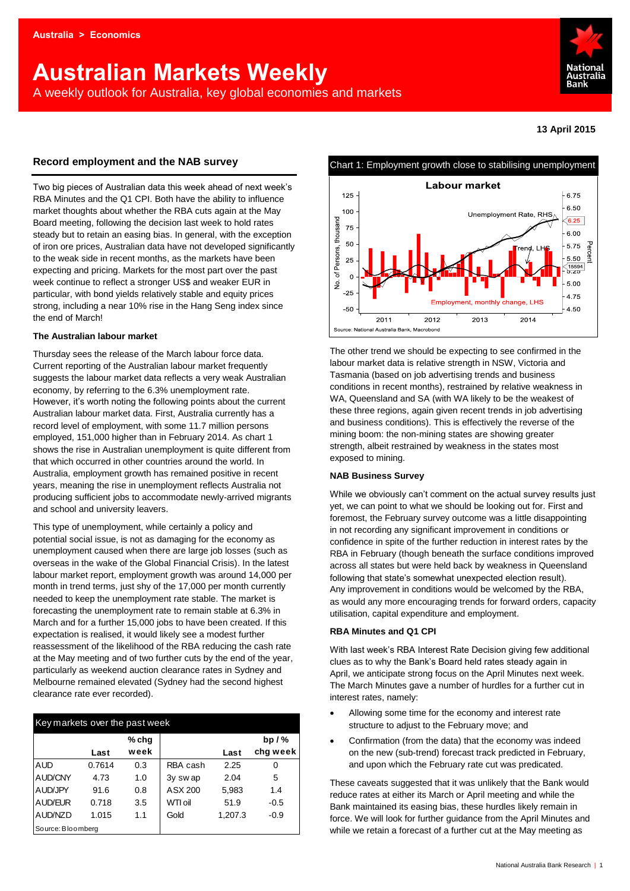# **Australian Markets Weekly**

A weekly outlook for Australia, key global economies and markets



## **13 April 2015**

## **Record employment and the NAB survey**

Two big pieces of Australian data this week ahead of next week's RBA Minutes and the Q1 CPI. Both have the ability to influence market thoughts about whether the RBA cuts again at the May Board meeting, following the decision last week to hold rates steady but to retain an easing bias. In general, with the exception of iron ore prices, Australian data have not developed significantly to the weak side in recent months, as the markets have been expecting and pricing. Markets for the most part over the past week continue to reflect a stronger US\$ and weaker EUR in particular, with bond yields relatively stable and equity prices strong, including a near 10% rise in the Hang Seng index since the end of March!

#### **The Australian labour market**

Thursday sees the release of the March labour force data. Current reporting of the Australian labour market frequently suggests the labour market data reflects a very weak Australian economy, by referring to the 6.3% unemployment rate. However, it's worth noting the following points about the current Australian labour market data. First, Australia currently has a record level of employment, with some 11.7 million persons employed, 151,000 higher than in February 2014. As chart 1 shows the rise in Australian unemployment is quite different from that which occurred in other countries around the world. In Australia, employment growth has remained positive in recent years, meaning the rise in unemployment reflects Australia not producing sufficient jobs to accommodate newly-arrived migrants and school and university leavers.

This type of unemployment, while certainly a policy and potential social issue, is not as damaging for the economy as unemployment caused when there are large job losses (such as overseas in the wake of the Global Financial Crisis). In the latest labour market report, employment growth was around 14,000 per month in trend terms, just shy of the 17,000 per month currently needed to keep the unemployment rate stable. The market is forecasting the unemployment rate to remain stable at 6.3% in March and for a further 15,000 jobs to have been created. If this expectation is realised, it would likely see a modest further reassessment of the likelihood of the RBA reducing the cash rate at the May meeting and of two further cuts by the end of the year, particularly as weekend auction clearance rates in Sydney and Melbourne remained elevated (Sydney had the second highest clearance rate ever recorded).

| Key markets over the past week |        |         |          |         |          |  |  |  |  |
|--------------------------------|--------|---------|----------|---------|----------|--|--|--|--|
|                                |        | $%$ chg |          |         | bp $/$ % |  |  |  |  |
|                                | Last   | week    |          | Last    | chg week |  |  |  |  |
| <b>AUD</b>                     | 0.7614 | 0.3     | RBA cash | 2.25    | 0        |  |  |  |  |
| AUD/CNY                        | 4.73   | 1.0     | 3y swap  | 2.04    | 5        |  |  |  |  |
| AUD/JPY                        | 91.6   | 0.8     | ASX 200  | 5,983   | 1.4      |  |  |  |  |
| AUD/EUR                        | 0.718  | 3.5     | WTI oil  | 51.9    | $-0.5$   |  |  |  |  |
| AUD/NZD                        | 1.015  | 1.1     | Gold     | 1,207.3 | $-0.9$   |  |  |  |  |
| Source: Bloomberg              |        |         |          |         |          |  |  |  |  |



The other trend we should be expecting to see confirmed in the labour market data is relative strength in NSW, Victoria and Tasmania (based on job advertising trends and business conditions in recent months), restrained by relative weakness in WA, Queensland and SA (with WA likely to be the weakest of these three regions, again given recent trends in job advertising and business conditions). This is effectively the reverse of the mining boom: the non-mining states are showing greater strength, albeit restrained by weakness in the states most exposed to mining.

## **NAB Business Survey**

While we obviously can't comment on the actual survey results just yet, we can point to what we should be looking out for. First and foremost, the February survey outcome was a little disappointing in not recording any significant improvement in conditions or confidence in spite of the further reduction in interest rates by the RBA in February (though beneath the surface conditions improved across all states but were held back by weakness in Queensland following that state's somewhat unexpected election result). Any improvement in conditions would be welcomed by the RBA, as would any more encouraging trends for forward orders, capacity utilisation, capital expenditure and employment.

#### **RBA Minutes and Q1 CPI**

With last week's RBA Interest Rate Decision giving few additional clues as to why the Bank's Board held rates steady again in April, we anticipate strong focus on the April Minutes next week. The March Minutes gave a number of hurdles for a further cut in interest rates, namely:

- Allowing some time for the economy and interest rate structure to adjust to the February move; and
- Confirmation (from the data) that the economy was indeed on the new (sub-trend) forecast track predicted in February, and upon which the February rate cut was predicated.

These caveats suggested that it was unlikely that the Bank would reduce rates at either its March or April meeting and while the Bank maintained its easing bias, these hurdles likely remain in force. We will look for further guidance from the April Minutes and while we retain a forecast of a further cut at the May meeting as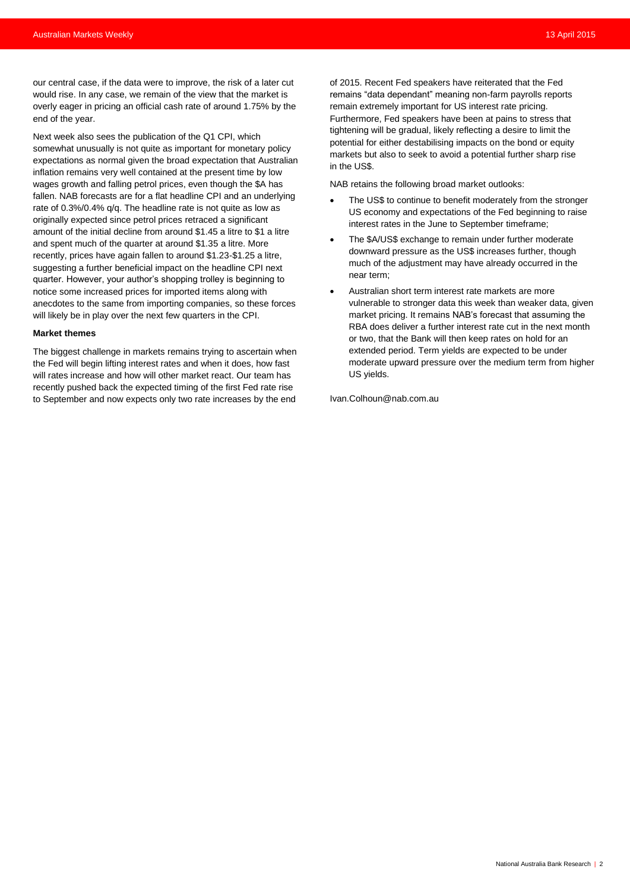our central case, if the data were to improve, the risk of a later cut would rise. In any case, we remain of the view that the market is overly eager in pricing an official cash rate of around 1.75% by the end of the year.

Next week also sees the publication of the Q1 CPI, which somewhat unusually is not quite as important for monetary policy expectations as normal given the broad expectation that Australian inflation remains very well contained at the present time by low wages growth and falling petrol prices, even though the \$A has fallen. NAB forecasts are for a flat headline CPI and an underlying rate of 0.3%/0.4% q/q. The headline rate is not quite as low as originally expected since petrol prices retraced a significant amount of the initial decline from around \$1.45 a litre to \$1 a litre and spent much of the quarter at around \$1.35 a litre. More recently, prices have again fallen to around \$1.23-\$1.25 a litre, suggesting a further beneficial impact on the headline CPI next quarter. However, your author's shopping trolley is beginning to notice some increased prices for imported items along with anecdotes to the same from importing companies, so these forces will likely be in play over the next few quarters in the CPI.

#### **Market themes**

The biggest challenge in markets remains trying to ascertain when the Fed will begin lifting interest rates and when it does, how fast will rates increase and how will other market react. Our team has recently pushed back the expected timing of the first Fed rate rise to September and now expects only two rate increases by the end

of 2015. Recent Fed speakers have reiterated that the Fed remains "data dependant" meaning non-farm payrolls reports remain extremely important for US interest rate pricing. Furthermore, Fed speakers have been at pains to stress that tightening will be gradual, likely reflecting a desire to limit the potential for either destabilising impacts on the bond or equity markets but also to seek to avoid a potential further sharp rise in the US\$.

NAB retains the following broad market outlooks:

- The US\$ to continue to benefit moderately from the stronger US economy and expectations of the Fed beginning to raise interest rates in the June to September timeframe;
- The \$A/US\$ exchange to remain under further moderate downward pressure as the US\$ increases further, though much of the adjustment may have already occurred in the near term;
- Australian short term interest rate markets are more vulnerable to stronger data this week than weaker data, given market pricing. It remains NAB's forecast that assuming the RBA does deliver a further interest rate cut in the next month or two, that the Bank will then keep rates on hold for an extended period. Term yields are expected to be under moderate upward pressure over the medium term from higher US yields.

[Ivan.Colhoun@nab.com.au](mailto:Ivan.Colhoun@nab.com.au)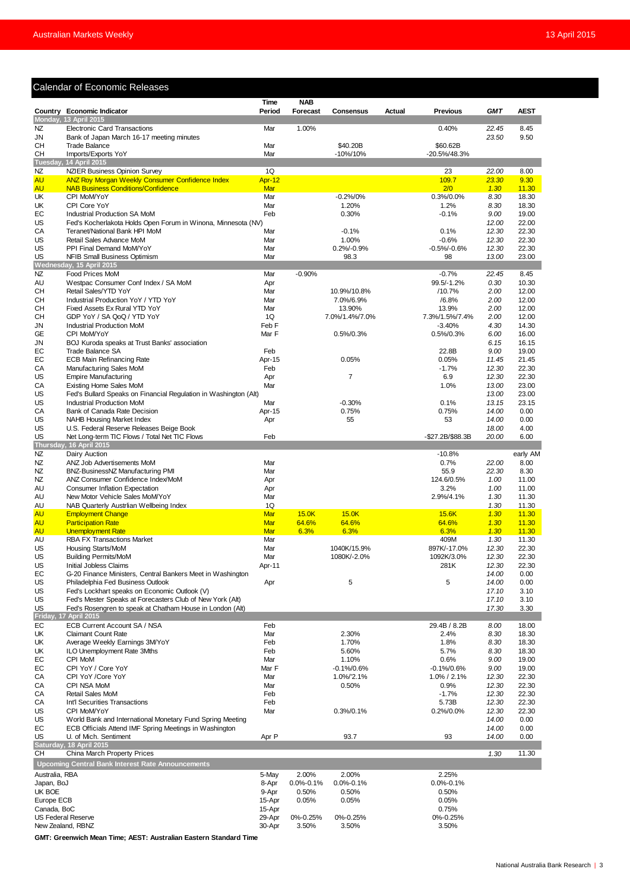## Calendar of Economic Releases

|                      | Calendar of Economic Releases                                                                        |                |                          |                             |        |                               |                |                |
|----------------------|------------------------------------------------------------------------------------------------------|----------------|--------------------------|-----------------------------|--------|-------------------------------|----------------|----------------|
|                      |                                                                                                      | Time           | <b>NAB</b>               |                             |        |                               |                |                |
|                      | Country Economic Indicator                                                                           | Period         | <b>Forecast</b>          | <b>Consensus</b>            | Actual | <b>Previous</b>               | GMT            | <b>AEST</b>    |
| NZ                   | Monday, 13 April 2015<br><b>Electronic Card Transactions</b>                                         | Mar            | 1.00%                    |                             |        | 0.40%                         | 22.45          | 8.45           |
| JN                   | Bank of Japan March 16-17 meeting minutes                                                            |                |                          |                             |        |                               | 23.50          | 9.50           |
| <b>CH</b>            | <b>Trade Balance</b>                                                                                 | Mar            |                          | \$40.20B                    |        | \$60.62B                      |                |                |
| CН                   | Imports/Exports YoY                                                                                  | Mar            |                          | -10%/10%                    |        | $-20.5\%/48.3\%$              |                |                |
| NZ                   | Tuesday, 14 April 2015<br><b>NZIER Business Opinion Survey</b>                                       | 1Q             |                          |                             |        | 23                            | 22.00          | 8.00           |
| <b>AU</b>            | ANZ Roy Morgan Weekly Consumer Confidence Index                                                      | Apr-12         |                          |                             |        | 109.7                         | 23.30          | 9.30           |
| <b>AU</b>            | <b>NAB Business Conditions/Confidence</b>                                                            | Mar            |                          |                             |        | 2/0                           | 1.30           | 11.30          |
| UK                   | CPI MoM/YoY                                                                                          | Mar            |                          | $-0.2\%/0\%$                |        | 0.3%/0.0%                     | 8.30           | 18.30          |
| UK<br>EС             | CPI Core YoY<br><b>Industrial Production SA MoM</b>                                                  | Mar<br>Feb     |                          | 1.20%<br>0.30%              |        | 1.2%<br>$-0.1%$               | 8.30<br>9.00   | 18.30<br>19.00 |
| US                   | Fed's Kocherlakota Holds Open Forum in Winona, Minnesota (NV)                                        |                |                          |                             |        |                               | 12.00          | 22.00          |
| СA                   | Teranet/National Bank HPI MoM                                                                        | Mar            |                          | $-0.1%$                     |        | 0.1%                          | 12.30          | 22.30          |
| US                   | Retail Sales Advance MoM                                                                             | Mar            |                          | 1.00%                       |        | $-0.6%$                       | 12.30          | 22.30          |
| US                   | PPI Final Demand MoM/YoY                                                                             | Mar            |                          | $0.2\%/0.9\%$               |        | $-0.5\% - 0.6\%$              | 12.30          | 22.30          |
| US                   | NFIB Small Business Optimism<br>Wednesday, 15 April 2015                                             | Mar            |                          | 98.3                        |        | 98                            | 13.00          | 23.00          |
| NZ                   | <b>Food Prices MoM</b>                                                                               | Mar            | $-0.90%$                 |                             |        | $-0.7%$                       | 22.45          | 8.45           |
| AU                   | Westpac Consumer Conf Index / SA MoM                                                                 | Apr            |                          |                             |        | 99.5/-1.2%                    | 0.30           | 10.30          |
| CН                   | Retail Sales/YTD YoY                                                                                 | Mar            |                          | 10.9%/10.8%                 |        | /10.7%                        | 2.00           | 12.00          |
| CН<br>CН             | Industrial Production YoY / YTD YoY<br>Fixed Assets Ex Rural YTD YoY                                 | Mar<br>Mar     |                          | 7.0%/6.9%<br>13.90%         |        | /6.8%<br>13.9%                | 2.00<br>2.00   | 12.00<br>12.00 |
| CН                   | GDP YoY / SA QoQ / YTD YoY                                                                           | 1Q             |                          | 7.0%/1.4%/7.0%              |        | 7.3%/1.5%/7.4%                | 2.00           | 12.00          |
| JN                   | Industrial Production MoM                                                                            | Feb F          |                          |                             |        | $-3.40%$                      | 4.30           | 14.30          |
| GE                   | CPI MoM/YoY                                                                                          | Mar F          |                          | 0.5%/0.3%                   |        | 0.5%/0.3%                     | 6.00           | 16.00          |
| JN<br>EC             | BOJ Kuroda speaks at Trust Banks' association                                                        | Feb            |                          |                             |        | 22.8B                         | 6.15<br>9.00   | 16.15<br>19.00 |
| EС                   | Trade Balance SA<br><b>ECB Main Refinancing Rate</b>                                                 | Apr-15         |                          | 0.05%                       |        | 0.05%                         | 11.45          | 21.45          |
| CA                   | Manufacturing Sales MoM                                                                              | Feb            |                          |                             |        | $-1.7%$                       | 12.30          | 22.30          |
| US                   | <b>Empire Manufacturing</b>                                                                          | Apr            |                          | 7                           |        | 6.9                           | 12.30          | 22.30          |
| СA                   | <b>Existing Home Sales MoM</b>                                                                       | Mar            |                          |                             |        | 1.0%                          | 13.00          | 23.00          |
| US<br>US             | Fed's Bullard Speaks on Financial Regulation in Washington (Alt)<br><b>Industrial Production MoM</b> | Mar            |                          | $-0.30%$                    |        | 0.1%                          | 13.00<br>13.15 | 23.00<br>23.15 |
| CA                   | Bank of Canada Rate Decision                                                                         | Apr-15         |                          | 0.75%                       |        | 0.75%                         | 14.00          | 0.00           |
| US                   | <b>NAHB Housing Market Index</b>                                                                     | Apr            |                          | 55                          |        | 53                            | 14.00          | 0.00           |
| US                   | U.S. Federal Reserve Releases Beige Book                                                             |                |                          |                             |        |                               | 18.00          | 4.00           |
| US                   | Net Long-term TIC Flows / Total Net TIC Flows<br>Thursday, 16 April 2015                             | Feb            |                          |                             |        | -\$27.2B/\$88.3B              | 20.00          | 6.00           |
| NZ.                  | Dairy Auction                                                                                        |                |                          |                             |        | $-10.8%$                      |                | early AM       |
| NZ                   | ANZ Job Advertisements MoM                                                                           | Mar            |                          |                             |        | 0.7%                          | 22.00          | 8.00           |
| NZ                   | BNZ-BusinessNZ Manufacturing PMI                                                                     | Mar            |                          |                             |        | 55.9                          | 22.30          | 8.30           |
| NZ                   | ANZ Consumer Confidence Index/MoM                                                                    | Apr            |                          |                             |        | 124.6/0.5%                    | 1.00           | 11.00          |
| AU<br>AU             | <b>Consumer Inflation Expectation</b><br>New Motor Vehicle Sales MoM/YoY                             | Apr<br>Mar     |                          |                             |        | 3.2%<br>2.9%/4.1%             | 1.00<br>1.30   | 11.00<br>11.30 |
| AU                   | NAB Quarterly Austrlian Wellbeing Index                                                              | 1Q             |                          |                             |        |                               | 1.30           | 11.30          |
| <b>AU</b>            | <b>Employment Change</b>                                                                             | Mar            | 15.0K                    | 15.0K                       |        | 15.6K                         | 1.30           | 11.30          |
| <b>AU</b>            | <b>Participation Rate</b>                                                                            | Mar            | 64.6%                    | 64.6%                       |        | 64.6%                         | 1.30           | 11.30          |
| AU<br>AU             | <b>Unemployment Rate</b><br><b>RBA FX Transactions Market</b>                                        | Mar<br>Mar     | 6.3%                     | 6.3%                        |        | 6.3%<br>409M                  | 1.30<br>1.30   | 11.30<br>11.30 |
| US                   | Housing Starts/MoM                                                                                   | Mar            |                          | 1040K/15.9%                 |        | 897K/-17.0%                   | 12.30          | 22.30          |
| US                   | <b>Building Permits/MoM</b>                                                                          | Mar            |                          | 1080K/-2.0%                 |        | 1092K/3.0%                    | 12.30          | 22.30          |
| US                   | Initial Jobless Claims                                                                               | Apr-11         |                          |                             |        | 281K                          | 12.30          | 22.30          |
| EC<br>US             | G-20 Finance Ministers, Central Bankers Meet in Washington<br>Philadelphia Fed Business Outlook      |                |                          | 5                           |        | 5                             | 14.00<br>14.00 | 0.00<br>0.00   |
| US                   | Fed's Lockhart speaks on Economic Outlook (V)                                                        | Apr            |                          |                             |        |                               | 17.10          | 3.10           |
| US                   | Fed's Mester Speaks at Forecasters Club of New York (Alt)                                            |                |                          |                             |        |                               | 17.10          | 3.10           |
| US                   | Fed's Rosengren to speak at Chatham House in London (Alt)                                            |                |                          |                             |        |                               | 17.30          | 3.30           |
|                      | Friday, 17 April 2015<br>ECB Current Account SA / NSA                                                | Feb            |                          |                             |        | 29.4B / 8.2B                  |                |                |
| EС<br>UK             | <b>Claimant Count Rate</b>                                                                           | Mar            |                          | 2.30%                       |        | 2.4%                          | 8.00<br>8.30   | 18.00<br>18.30 |
| UK                   | Average Weekly Earnings 3M/YoY                                                                       | Feb            |                          | 1.70%                       |        | 1.8%                          | 8.30           | 18.30          |
| UK                   | ILO Unemployment Rate 3Mths                                                                          | Feb            |                          | 5.60%                       |        | 5.7%                          | 8.30           | 18.30          |
| EC                   | CPI MoM                                                                                              | Mar            |                          | 1.10%                       |        | 0.6%                          | 9.00           | 19.00          |
| EC<br>СA             | CPI YoY / Core YoY<br>CPI YoY /Core YoY                                                              | Mar F<br>Mar   |                          | $-0.1\%/0.6\%$<br>1.0%/2.1% |        | $-0.1\%/0.6\%$<br>1.0% / 2.1% | 9.00<br>12.30  | 19.00<br>22.30 |
| СA                   | CPI NSA MoM                                                                                          | Mar            |                          | 0.50%                       |        | 0.9%                          | 12.30          | 22.30          |
| СA                   | <b>Retail Sales MoM</b>                                                                              | Feb            |                          |                             |        | $-1.7%$                       | 12.30          | 22.30          |
| СA                   | Int'l Securities Transactions                                                                        | Feb            |                          |                             |        | 5.73B                         | 12.30          | 22.30          |
| US<br>US             | CPI MoM/YoY<br>World Bank and International Monetary Fund Spring Meeting                             | Mar            |                          | 0.3%/0.1%                   |        | 0.2%/0.0%                     | 12.30<br>14.00 | 22.30<br>0.00  |
| EC                   | ECB Officials Attend IMF Spring Meetings in Washington                                               |                |                          |                             |        |                               | 14.00          | 0.00           |
| US                   | U. of Mich. Sentiment                                                                                | Apr P          |                          | 93.7                        |        | 93                            | 14.00          | 0.00           |
|                      | Saturday, 18 April 2015                                                                              |                |                          |                             |        |                               |                |                |
| CН                   | China March Property Prices                                                                          |                |                          |                             |        |                               | 1.30           | 11.30          |
|                      | Upcoming Central Bank Interest Rate Announcements                                                    |                |                          |                             |        |                               |                |                |
| Australia, RBA       |                                                                                                      | 5-May          | 2.00%                    | 2.00%                       |        | 2.25%                         |                |                |
| Japan, BoJ<br>UK BOE |                                                                                                      | 8-Apr<br>9-Apr | $0.0\% - 0.1\%$<br>0.50% | $0.0\% - 0.1\%$<br>0.50%    |        | $0.0\% - 0.1\%$<br>0.50%      |                |                |
| Europe ECB           |                                                                                                      | 15-Apr         | 0.05%                    | 0.05%                       |        | 0.05%                         |                |                |
| Canada, BoC          |                                                                                                      | 15-Apr         |                          |                             |        | 0.75%                         |                |                |
|                      | <b>US Federal Reserve</b>                                                                            | 29-Apr         | 0%-0.25%                 | 0%-0.25%                    |        | 0%-0.25%                      |                |                |
|                      | New Zealand, RBNZ                                                                                    | 30-Apr         | 3.50%                    | 3.50%                       |        | 3.50%                         |                |                |

**GMT: Greenwich Mean Time; AEST: Australian Eastern Standard Time**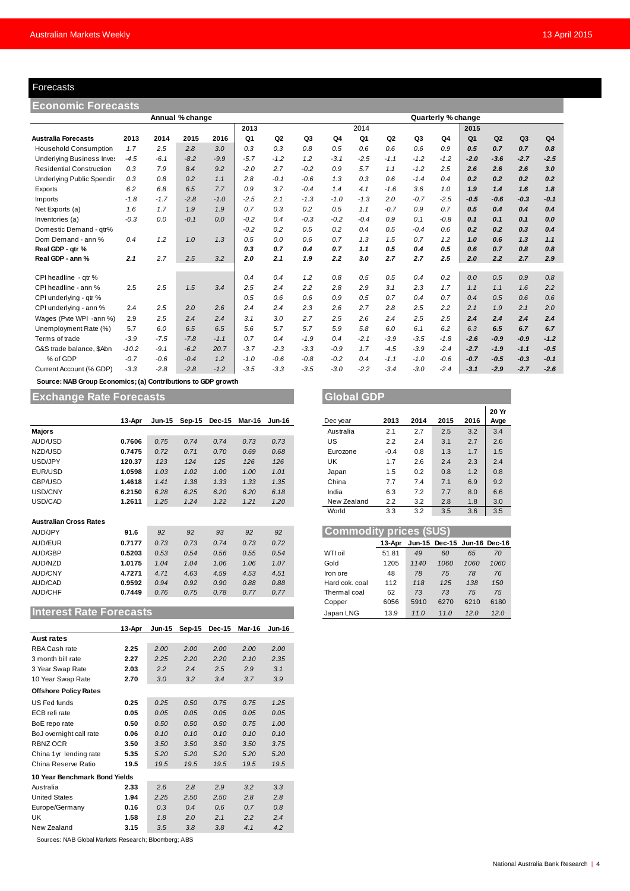### Forecasts

| Forecasts                        |         |                                        |                 |         |        |                    |        |                |        |                |        |        |                |                |        |                |
|----------------------------------|---------|----------------------------------------|-----------------|---------|--------|--------------------|--------|----------------|--------|----------------|--------|--------|----------------|----------------|--------|----------------|
| <b>Economic Forecasts</b>        |         |                                        |                 |         |        |                    |        |                |        |                |        |        |                |                |        |                |
|                                  |         |                                        | Annual % change |         |        | Quarterly % change |        |                |        |                |        |        |                |                |        |                |
|                                  |         |                                        |                 |         | 2013   |                    |        |                | 2014   |                |        |        | 2015           |                |        |                |
| <b>Australia Forecasts</b>       | 2013    | 2014                                   | 2015            | 2016    | Q1     | Q <sub>2</sub>     | Q3     | Q <sub>4</sub> | Q1     | Q <sub>2</sub> | Q3     | Q4     | Q <sub>1</sub> | Q <sub>2</sub> | Q3     | Q <sub>4</sub> |
| <b>Household Consumption</b>     | 1.7     | 2.5                                    | 2.8             | 3.0     | 0.3    | 0.3                | 0.8    | 0.5            | 0.6    | 0.6            | 0.6    | 0.9    | 0.5            | 0.7            | 0.7    | 0.8            |
| <b>Underlying Business Inves</b> | $-4.5$  | $-6.1$                                 | $-8.2$          | $-9.9$  | $-5.7$ | $-1.2$             | 1.2    | $-3.1$         | $-2.5$ | $-1.1$         | $-1.2$ | $-1.2$ | $-2.0$         | $-3.6$         | $-2.7$ | $-2.5$         |
| <b>Residential Construction</b>  | 0.3     | 7.9                                    | 8.4             | 9.2     | $-2.0$ | 2.7                | $-0.2$ | 0.9            | 5.7    | 1.1            | $-1.2$ | 2.5    | 2.6            | 2.6            | 2.6    | 3.0            |
| <b>Underlying Public Spendin</b> | 0.3     | 0.8                                    | 0.2             | 1.1     | 2.8    | $-0.1$             | $-0.6$ | 1.3            | 0.3    | 0.6            | $-1.4$ | 0.4    | 0.2            | 0.2            | 0.2    | 0.2            |
| Exports                          | 6.2     | 6.8                                    | 6.5             | 7.7     | 0.9    | 3.7                | $-0.4$ | 1.4            | 4.1    | $-1.6$         | 3.6    | 1.0    | 1.9            | 1.4            | 1.6    | 1.8            |
| Imports                          | $-1.8$  | $-1.7$                                 | $-2.8$          | $-1.0$  | $-2.5$ | 2.1                | $-1.3$ | $-1.0$         | $-1.3$ | 2.0            | $-0.7$ | $-2.5$ | $-0.5$         | $-0.6$         | $-0.3$ | $-0.1$         |
| Net Exports (a)                  | 1.6     | 1.7                                    | 1.9             | 1.9     | 0.7    | 0.3                | 0.2    | 0.5            | 1.1    | $-0.7$         | 0.9    | 0.7    | 0.5            | 0.4            | 0.4    | 0.4            |
| Inventories (a)                  | $-0.3$  | 0.0                                    | $-0.1$          | 0.0     | $-0.2$ | 0.4                | $-0.3$ | $-0.2$         | $-0.4$ | 0.9            | 0.1    | $-0.8$ | 0.1            | 0.1            | 0.1    | 0.0            |
| Domestic Demand - qtr%           |         |                                        |                 |         | $-0.2$ | 0.2                | 0.5    | 0.2            | 0.4    | 0.5            | $-0.4$ | 0.6    | 0.2            | 0.2            | 0.3    | 0.4            |
| Dom Demand - ann %               | 0.4     | 1.2                                    | 1.0             | 1.3     | 0.5    | 0.0                | 0.6    | 0.7            | 1.3    | 1.5            | 0.7    | 1.2    | 1.0            | 0.6            | 1.3    | 1.1            |
| Real GDP - atr %                 |         |                                        |                 |         | 0.3    | 0.7                | 0.4    | 0.7            | 1.1    | 0.5            | 0.4    | 0.5    | 0.6            | 0.7            | 0.8    | 0.8            |
| Real GDP - ann %                 | 2.1     | 2.7                                    | 2.5             | 3.2     | 2.0    | 2.1                | 1.9    | 2.2            | 3.0    | 2.7            | 2.7    | 2.5    | 2.0            | 2.2            | 2.7    | 2.9            |
|                                  |         |                                        |                 |         |        |                    |        |                |        |                |        |        |                |                |        |                |
| CPI headline - qtr %             |         |                                        |                 |         | 0.4    | 0.4                | 1.2    | 0.8            | 0.5    | 0.5            | 0.4    | 0.2    | 0.0            | 0.5            | 0.9    | 0.8            |
| CPI headline - ann %             | 2.5     | 2.5                                    | 1.5             | 3.4     | 2.5    | 2.4                | 2.2    | 2.8            | 2.9    | 3.1            | 2.3    | 1.7    | 1.1            | 1.1            | 1.6    | 2.2            |
| CPI underlying - gtr %           |         |                                        |                 |         | 0.5    | 0.6                | 0.6    | 0.9            | 0.5    | 0.7            | 0.4    | 0.7    | 0.4            | 0.5            | 0.6    | 0.6            |
| CPI underlying - ann %           | 2.4     | 2.5                                    | 2.0             | 2.6     | 2.4    | 2.4                | 2.3    | 2.6            | 2.7    | 2.8            | 2.5    | 2.2    | 2.1            | 1.9            | 2.1    | 2.0            |
| Wages (Pvte WPI -ann %)          | 2.9     | 2.5                                    | 2.4             | 2.4     | 3.1    | 3.0                | 2.7    | 2.5            | 2.6    | 2.4            | 2.5    | 2.5    | 2.4            | 2.4            | 2.4    | 2.4            |
| Unemployment Rate (%)            | 5.7     | 6.0                                    | 6.5             | 6.5     | 5.6    | 5.7                | 5.7    | 5.9            | 5.8    | 6.0            | 6.1    | 6.2    | 6.3            | 6.5            | 6.7    | 6.7            |
| Terms of trade                   | $-3.9$  | $-7.5$                                 | $-7.8$          | $-1.1$  | 0.7    | 0.4                | $-1.9$ | 0.4            | $-2.1$ | $-3.9$         | $-3.5$ | $-1.8$ | $-2.6$         | $-0.9$         | $-0.9$ | $-1.2$         |
| G&S trade balance, \$Abn         | $-10.2$ | $-9.1$                                 | $-6.2$          | 20.7    | $-3.7$ | $-2.3$             | $-3.3$ | $-0.9$         | 1.7    | $-4.5$         | $-3.9$ | $-2.4$ | $-2.7$         | $-1.9$         | $-1.1$ | $-0.5$         |
| % of GDP                         | $-0.7$  | $-0.6$                                 | $-0.4$          | 1.2     | $-1.0$ | $-0.6$             | $-0.8$ | $-0.2$         | 0.4    | $-1.1$         | $-1.0$ | $-0.6$ | $-0.7$         | $-0.5$         | $-0.3$ | $-0.1$         |
| Current Account (% GDP)          | $-3.3$  | $-2.8$                                 | $-2.8$          | $-1.2$  | $-3.5$ | $-3.3$             | $-3.5$ | $-3.0$         | $-2.2$ | $-3.4$         | $-3.0$ | $-2.4$ | $-3.1$         | $-2.9$         | $-2.7$ | $-2.6$         |
| Country MAD Corp. From a         |         | والمستطلب والمتعارض والمراري والمتعارف |                 | $ \sim$ |        |                    |        |                |        |                |        |        |                |                |        |                |

 **Source: NAB Group Economics; (a) Contributions to GDP growth**

## **Exchange Rate Forecasts Global GDP**

|                               | 13-Apr | <b>Jun-15</b> | $Sep-15$ | Dec-15 | Mar-16 | <b>Jun-16</b> | Dec year                       | 2013   | 2014          | 2015                 | 2016 | Avge |
|-------------------------------|--------|---------------|----------|--------|--------|---------------|--------------------------------|--------|---------------|----------------------|------|------|
| <b>Majors</b>                 |        |               |          |        |        |               | Australia                      | 2.1    | 2.7           | 2.5                  | 3.2  | 3.4  |
| AUD/USD                       | 0.7606 | 0.75          | 0.74     | 0.74   | 0.73   | 0.73          | US                             | 2.2    | 2.4           | 3.1                  | 2.7  | 2.6  |
| NZD/USD                       | 0.7475 | 0.72          | 0.71     | 0.70   | 0.69   | 0.68          | Eurozone                       | $-0.4$ | 0.8           | 1.3                  | 1.7  | 1.5  |
| USD/JPY                       | 120.37 | 123           | 124      | 125    | 126    | 126           | UK                             | 1.7    | 2.6           | 2.4                  | 2.3  | 2.4  |
| EUR/USD                       | 1.0598 | 1.03          | 1.02     | 1.00   | 1.00   | 1.01          | Japan                          | 1.5    | 0.2           | 0.8                  | 1.2  | 0.8  |
| GBP/USD                       | 1.4618 | 1.41          | 1.38     | 1.33   | 1.33   | 1.35          | China                          | 7.7    | 7.4           | 7.1                  | 6.9  | 9.2  |
| USD/CNY                       | 6.2150 | 6.28          | 6.25     | 6.20   | 6.20   | 6.18          | India                          | 6.3    | 7.2           | 7.7                  | 8.0  | 6.6  |
| USD/CAD                       | 1.2611 | 1.25          | 1.24     | 1.22   | 1.21   | 1.20          | New Zealand                    | 2.2    | 3.2           | 2.8                  | 1.8  | 3.0  |
|                               |        |               |          |        |        |               | World                          | 3.3    | 3.2           | 3.5                  | 3.6  | 3.5  |
| <b>Australian Cross Rates</b> |        |               |          |        |        |               |                                |        |               |                      |      |      |
| AUD/JPY                       | 91.6   | 92            | 92       | 93     | 92     | 92            | <b>Commodity prices (\$US)</b> |        |               |                      |      |      |
| AUD/EUR                       | 0.7177 | 0.73          | 0.73     | 0.74   | 0.73   | 0.72          |                                | 13-Apr | <b>Jun-15</b> | Dec-15 Jun-16 Dec-16 |      |      |
| <b>AUD/GBP</b>                | 0.5203 | 0.53          | 0.54     | 0.56   | 0.55   | 0.54          | WTI oil                        | 51.81  | 49            | 60                   | 65   | 70   |
| AUD/NZD                       | 1.0175 | 1.04          | 1.04     | 1.06   | 1.06   | 1.07          | Gold                           | 1205   | 1140          | 1060                 | 1060 | 1060 |
| <b>AUD/CNY</b>                | 4.7271 | 4.71          | 4.63     | 4.59   | 4.53   | 4.51          | Iron ore                       | 48     | 78            | 75                   | 78   | 76   |
| AUD/CAD                       | 0.9592 | 0.94          | 0.92     | 0.90   | 0.88   | 0.88          | Hard cok. coal                 | 112    | 118           | 125                  | 138  | 150  |
| <b>AUD/CHF</b>                | 0.7449 | 0.76          | 0.75     | 0.78   | 0.77   | 0.77          | Thermal coal                   | 62     | 73            | 73                   | 75   | 75   |
|                               |        |               |          |        |        |               | Copper                         | 6056   | 5910          | 6270                 | 6210 | 6180 |

## **Interest Rate Forecasts**

|                               | 13-Apr | Jun-15 | $Sep-15$ | Dec-15 | Mar-16 | Jun-16 |  |  |  |  |  |
|-------------------------------|--------|--------|----------|--------|--------|--------|--|--|--|--|--|
| Aust rates                    |        |        |          |        |        |        |  |  |  |  |  |
| RBA Cash rate                 | 2.25   | 2.00   | 2.00     | 2.00   | 2.00   | 2.00   |  |  |  |  |  |
| 3 month bill rate             | 2.27   | 2.25   | 2.20     | 2.20   | 2.10   | 2.35   |  |  |  |  |  |
|                               |        |        |          |        |        |        |  |  |  |  |  |
| 3 Year Swap Rate              | 2.03   | 2.2    | 2.4      | 2.5    | 2.9    | 3.1    |  |  |  |  |  |
| 10 Year Swap Rate             | 2.70   | 3.0    | 3.2      | 3.4    | 3.7    | 3.9    |  |  |  |  |  |
| <b>Offshore Policy Rates</b>  |        |        |          |        |        |        |  |  |  |  |  |
| US Fed funds                  | 0.25   | 0.25   | 0.50     | 0.75   | 0.75   | 1.25   |  |  |  |  |  |
| ECB refi rate                 | 0.05   | 0.05   | 0.05     | 0.05   | 0.05   | 0.05   |  |  |  |  |  |
| BoE repo rate                 | 0.50   | 0.50   | 0.50     | 0.50   | 0.75   | 1.00   |  |  |  |  |  |
| BoJ overnight call rate       | 0.06   | 0.10   | 0.10     | 0.10   | 0.10   | 0.10   |  |  |  |  |  |
| RBNZ OCR                      | 3.50   | 3.50   | 3.50     | 3.50   | 3.50   | 3.75   |  |  |  |  |  |
| China 1yr lending rate        | 5.35   | 5.20   | 5.20     | 5.20   | 5.20   | 5.20   |  |  |  |  |  |
| China Reserve Ratio           | 19.5   | 19.5   | 19.5     | 19.5   | 19.5   | 19.5   |  |  |  |  |  |
| 10 Year Benchmark Bond Yields |        |        |          |        |        |        |  |  |  |  |  |
| Australia                     | 2.33   | 2.6    | 2.8      | 2.9    | 3.2    | 3.3    |  |  |  |  |  |
| <b>United States</b>          | 1.94   | 2.25   | 2.50     | 2.50   | 2.8    | 2.8    |  |  |  |  |  |
| Europe/Germany                | 0.16   | 0.3    | 0.4      | 0.6    | 0.7    | 0.8    |  |  |  |  |  |
| UK                            | 1.58   | 1.8    | 2.0      | 2.1    | 2.2    | 2.4    |  |  |  |  |  |
| New Zealand                   | 3.15   | 3.5    | 3.8      | 3.8    | 4.1    | 4.2    |  |  |  |  |  |

Sources: NAB Global Markets Research; Bloomberg; ABS

|             |        |      |      |      | 20 Yr |
|-------------|--------|------|------|------|-------|
| Dec year    | 2013   | 2014 | 2015 | 2016 | Avge  |
| Australia   | 2.1    | 2.7  | 2.5  | 3.2  | 3.4   |
| US          | 2.2    | 2.4  | 3.1  | 2.7  | 2.6   |
| Eurozone    | $-0.4$ | 0.8  | 1.3  | 1.7  | 1.5   |
| UK          | 1.7    | 2.6  | 2.4  | 2.3  | 2.4   |
| Japan       | 1.5    | 0.2  | 0.8  | 1.2  | 0.8   |
| China       | 7.7    | 7.4  | 7.1  | 6.9  | 9.2   |
| India       | 6.3    | 7.2  | 7.7  | 8.0  | 6.6   |
| New Zealand | 2.2    | 3.2  | 2.8  | 1.8  | 3.0   |
| World       | 3.3    | 3.2  | 3.5  | 3.6  | 3.5   |
|             |        |      |      |      |       |

٦

| <b>Commodity prices (\$US)</b> |        |      |                             |      |      |  |  |  |  |
|--------------------------------|--------|------|-----------------------------|------|------|--|--|--|--|
|                                | 13-Apr |      | Jun-15 Dec-15 Jun-16 Dec-16 |      |      |  |  |  |  |
| WTI oil                        | 51.81  | 49   | 60                          | 65   | 70   |  |  |  |  |
| Gold                           | 1205   | 1140 | 1060                        | 1060 | 1060 |  |  |  |  |
| Iron ore                       | 48     | 78   | 75                          | 78   | 76   |  |  |  |  |
| Hard cok. coal                 | 112    | 118  | 125                         | 138  | 150  |  |  |  |  |
| Thermal coal                   | 62     | 73   | 73                          | 75   | 75   |  |  |  |  |
| Copper                         | 6056   | 5910 | 6270                        | 6210 | 6180 |  |  |  |  |
| Japan LNG                      | 13.9   | 11.0 | 11.0                        | 12.0 | 12.0 |  |  |  |  |